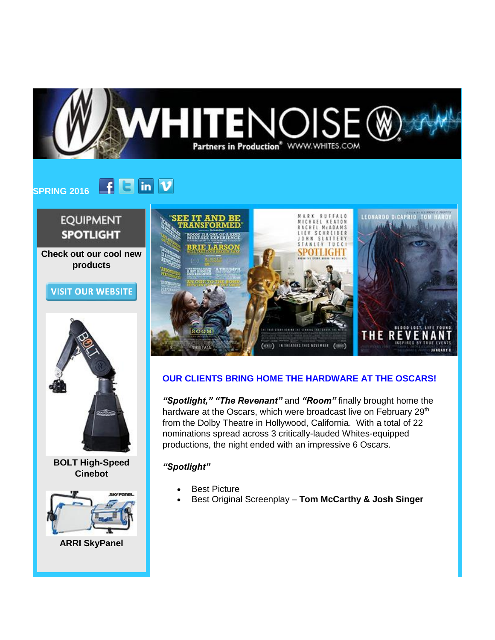

#### $F$   $\Box$  in  $\nu$ **SPRING 2016**

# **EQUIPMENT SPOTLIGHT**

**Check out our cool new products**

## **VISIT OUR WEBSITE**



**BOLT High-Speed Cinebot**



**ARRI SkyPanel**



## **OUR CLIENTS BRING HOME THE HARDWARE AT THE OSCARS!**

*"Spotlight," "The Revenant"* and *"Room"* finally brought home the hardware at the Oscars, which were broadcast live on February 29<sup>th</sup> from the Dolby Theatre in Hollywood, California. With a total of 22 nominations spread across 3 critically-lauded Whites-equipped productions, the night ended with an impressive 6 Oscars.

### *"Spotlight"*

- **Best Picture**
- Best Original Screenplay **Tom McCarthy & Josh Singer**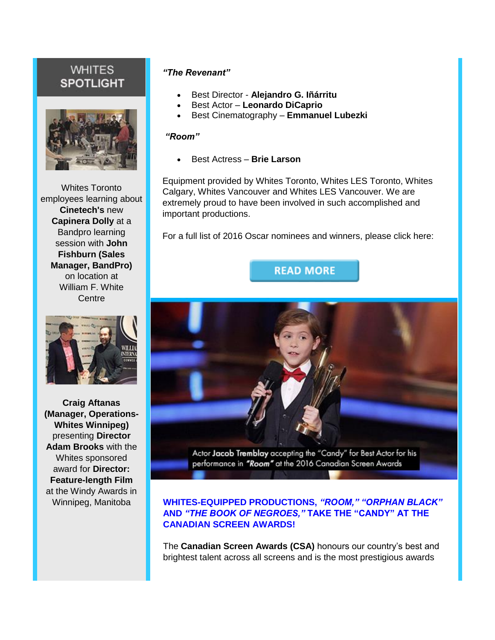## **WHITES SPOTLIGHT**



Whites Toronto employees learning about **Cinetech's** new **Capinera Dolly** at a Bandpro learning session with **John Fishburn (Sales Manager, BandPro)** on location at William F. White **Centre** 



**Craig Aftanas (Manager, Operations-Whites Winnipeg)** presenting **Director Adam Brooks** with the Whites sponsored award for **Director: Feature-length Film** at the Windy Awards in Winnipeg, Manitoba

## *"The Revenant"*

- Best Director **Alejandro G. Iñárritu**
- Best Actor **Leonardo DiCaprio**
- Best Cinematography **Emmanuel Lubezki**

#### *"Room"*

• Best Actress – **Brie Larson**

Equipment provided by Whites Toronto, Whites LES Toronto, Whites Calgary, Whites Vancouver and Whites LES Vancouver. We are extremely proud to have been involved in such accomplished and important productions.

For a full list of 2016 Oscar nominees and winners, please click here:

## **READ MORE**



Actor Jacob Tremblay accepting the "Candy" for Best Actor for his performance in "Room" at the 2016 Canadian Screen Awards

### **WHITES-EQUIPPED PRODUCTIONS,** *"ROOM," "ORPHAN BLACK"* **AND** *"THE BOOK OF NEGROES,"* **TAKE THE "CANDY" AT THE CANADIAN SCREEN AWARDS!**

The **Canadian Screen Awards (CSA)** honours our country's best and brightest talent across all screens and is the most prestigious awards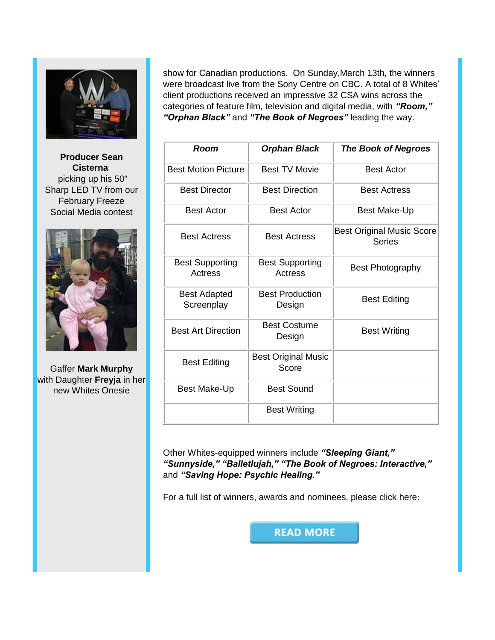

**Producer Sean Cisterna** picking up his 50" Sharp LED TV from our February Freeze Social Media contest



Gaffer **Mark Murphy** with Daughter **Freyja** in her new Whites Onesie

show for Canadian productions. On Sunday,March 13th, the winners were broadcast live from the Sony Centre on CBC. A total of 8 Whites' client productions received an impressive 32 CSA wins across the categories of feature film, television and digital media, with *"Room," "Orphan Black"* and *"The Book of Negroes"* leading the way.

| Room                              | <b>Orphan Black</b>                 | <b>The Book of Negroes</b>                        |
|-----------------------------------|-------------------------------------|---------------------------------------------------|
| <b>Best Motion Picture</b>        | <b>Best TV Movie</b>                | <b>Best Actor</b>                                 |
| <b>Best Director</b>              | <b>Best Direction</b>               | <b>Best Actress</b>                               |
| <b>Best Actor</b>                 | <b>Best Actor</b>                   | Best Make-Up                                      |
| <b>Best Actress</b>               | <b>Best Actress</b>                 | <b>Best Original Music Score</b><br><b>Series</b> |
| <b>Best Supporting</b><br>Actress | <b>Best Supporting</b><br>Actress   | <b>Best Photography</b>                           |
| <b>Best Adapted</b><br>Screenplay | <b>Best Production</b><br>Design    | <b>Best Editing</b>                               |
| <b>Best Art Direction</b>         | <b>Best Costume</b><br>Design       | <b>Best Writing</b>                               |
| <b>Best Editing</b>               | <b>Best Original Music</b><br>Score |                                                   |
| Best Make-Up                      | <b>Best Sound</b>                   |                                                   |
|                                   | <b>Best Writing</b>                 |                                                   |

Other Whites-equipped winners include *"Sleeping Giant," "Sunnyside," "Balletlujah," "The Book of Negroes: Interactive,"*  and *"Saving Hope: Psychic Healing."* 

For a full list of winners, awards and nominees, please click here:

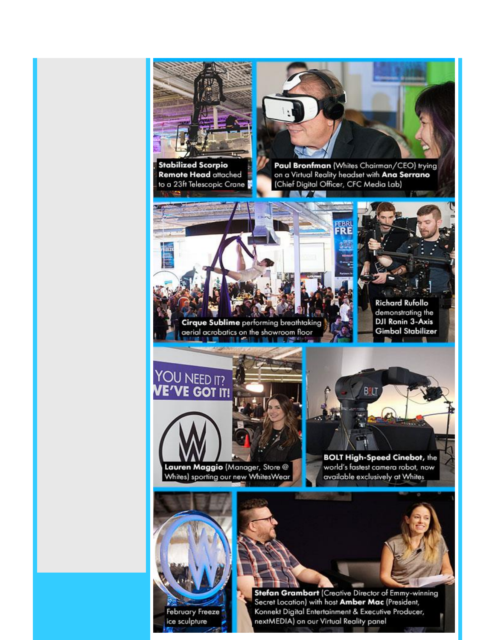

**February Freeze** ice sculpture

Secret Location) with host Amber Mac (President, Konnekt Digital Entertainment & Executive Producer, nextMEDIA) on our Virtual Reality panel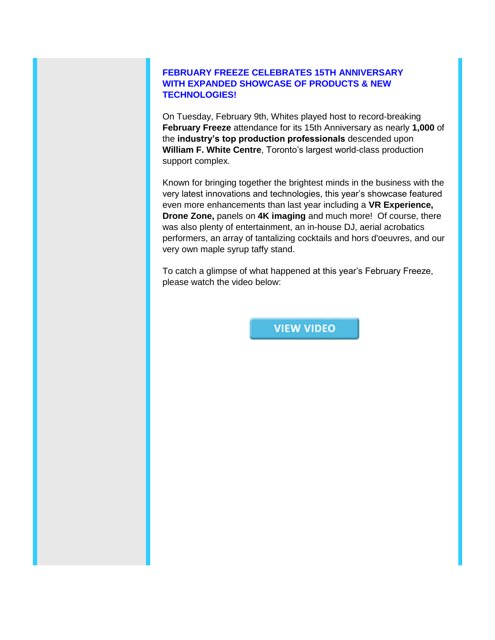## **FEBRUARY FREEZE CELEBRATES 15TH ANNIVERSARY WITH EXPANDED SHOWCASE OF PRODUCTS & NEW TECHNOLOGIES!**

On Tuesday, February 9th, Whites played host to record-breaking **February Freeze** attendance for its 15th Anniversary as nearly **1,000** of the **industry's top production professionals** descended upon **William F. White Centre**, Toronto's largest world-class production support complex.

Known for bringing together the brightest minds in the business with the very latest innovations and technologies, this year's showcase featured even more enhancements than last year including a **VR Experience, Drone Zone,** panels on **4K imaging** and much more! Of course, there was also plenty of entertainment, an in-house DJ, aerial acrobatics performers, an array of tantalizing cocktails and hors d'oeuvres, and our very own maple syrup taffy stand.

To catch a glimpse of what happened at this year's February Freeze, please watch the video below:

**VIEW VIDEO**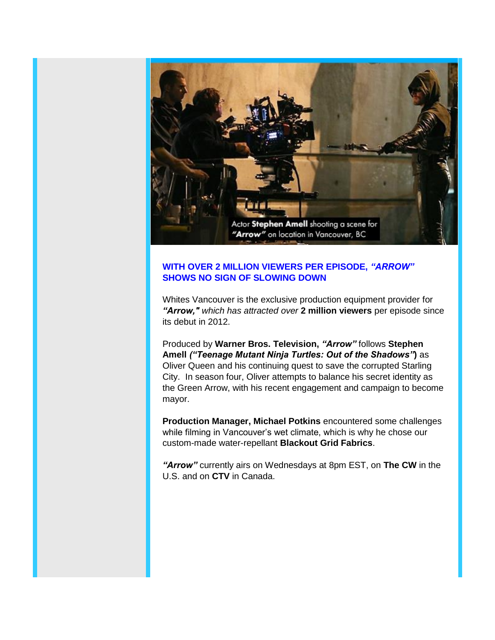

## **WITH OVER 2 MILLION VIEWERS PER EPISODE,** *"ARROW"* **SHOWS NO SIGN OF SLOWING DOWN**

Whites Vancouver is the exclusive production equipment provider for *"Arrow," which has attracted over* **2 million viewers** per episode since its debut in 2012.

Produced by **Warner Bros. Television,** *"Arrow"* follows **Stephen Amell** *("Teenage Mutant Ninja Turtles: Out of the Shadows"***)** as Oliver Queen and his continuing quest to save the corrupted Starling City. In season four, Oliver attempts to balance his secret identity as the Green Arrow, with his recent engagement and campaign to become mayor.

**Production Manager, Michael Potkins** encountered some challenges while filming in Vancouver's wet climate, which is why he chose our custom-made water-repellant **Blackout Grid Fabrics**.

*"Arrow"* currently airs on Wednesdays at 8pm EST, on **The CW** in the U.S. and on **CTV** in Canada.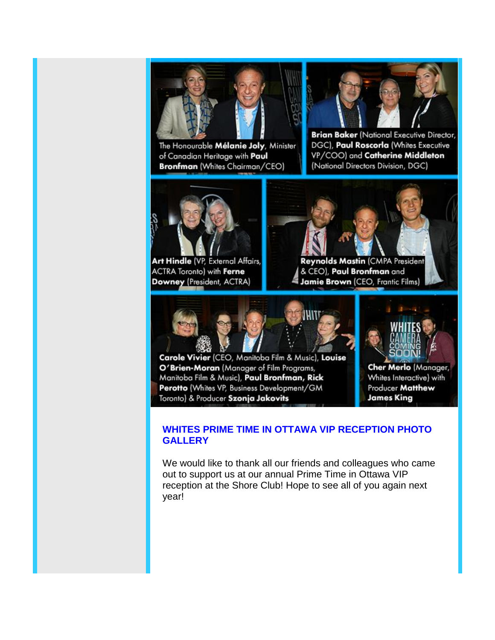

The Honourable Mélanie Joly, Minister of Canadian Heritage with Paul Bronfman (Whites Chairman/CEO)



**Brian Baker (National Executive Director,** DGC), Paul Roscorla (Whites Executive VP/COO) and Catherine Middleton (National Directors Division, DGC)



Art Hindle (VP, External Affairs, ACTRA Toronto) with Ferne Downey (President, ACTRA)



Reynolds Mastin (CMPA President & CEO), Paul Bronfman and Jamie Brown (CEO, Frantic Films)



Carole Vivier (CEO, Manitoba Film & Music), Louise O'Brien-Moran (Manager of Film Programs, Manitoba Film & Music), Paul Bronfman, Rick Perotto (Whites VP, Business Development/GM Toronto) & Producer Szonja Jakovits



Cher Merlo (Manager, Whites Interactive) with Producer Matthew **James King** 

## **WHITES PRIME TIME IN OTTAWA VIP RECEPTION PHOTO GALLERY**

We would like to thank all our friends and colleagues who came out to support us at our annual Prime Time in Ottawa VIP reception at the Shore Club! Hope to see all of you again next year!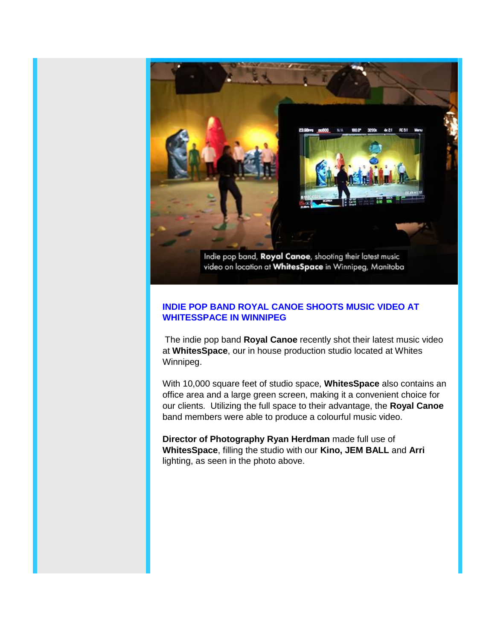

## **INDIE POP BAND ROYAL CANOE SHOOTS MUSIC VIDEO AT WHITESSPACE IN WINNIPEG**

The indie pop band **Royal Canoe** recently shot their latest music video at **WhitesSpace**, our in house production studio located at Whites Winnipeg.

With 10,000 square feet of studio space, **WhitesSpace** also contains an office area and a large green screen, making it a convenient choice for our clients. Utilizing the full space to their advantage, the **Royal Canoe** band members were able to produce a colourful music video.

**Director of Photography Ryan Herdman** made full use of **WhitesSpace**, filling the studio with our **Kino, JEM BALL** and **Arri** lighting, as seen in the photo above.